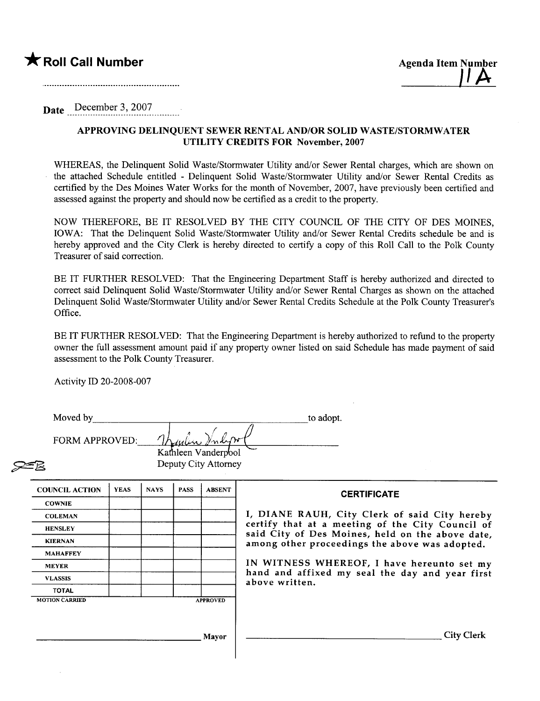Date December 3, 2007

## APPROVING DELINQUENT SEWER RENTAL AND/OR SOLID WASTE/STORMWATER UTILITY CREDITS FOR November, 2007

WHEREAS, the Delinquent Solid Waste/Stormwater Utility and/or Sewer Rental charges, which are shown on the attached Schedule entitled - Delinquent Solid Waste/Stormwater Utility and/or Sewer Rental Credits as certified by the Des Moines Water Works for the month of November, 2007, have previously been certified and assessed against the property and should now be certified as a credit to the property.

NOW THEREFORE, BE IT RESOLVED BY THE CITY COUNCIL OF THE CITY OF DES MOINES, IOWA: That the Delinquent Solid Waste/Stormwater Utilty and/or Sewer Rental Credits schedule be and is hereby approved and the City Clerk is hereby directed to certify a copy of this Roll Call to the Polk County Treasurer of said correction.

BE IT FURTHER RESOLVED: That the Engineering Department Staff is hereby authorized and directed to correct said Delinquent Solid Waste/Stormwater Utility and/or Sewer Rental Charges as shown on the attached Delinquent Solid Waste/Stormwater Utilty and/or Sewer Rental Credits Schedule at the Polk County Treasurer's Office.

BE IT FURTHER RESOLVED: That the Engineering Department is hereby authorized to refund to the property owner the full assessment amount paid if any property owner listed on said Schedule has made payment of said assessment to the Polk County Treasurer.

Activity ID 20-2008-007

| Moved by              |             |             |             |                                             | to adopt.                                                                                          |
|-----------------------|-------------|-------------|-------------|---------------------------------------------|----------------------------------------------------------------------------------------------------|
| FORM APPROVED:        |             |             |             | Kathleen Vanderpool<br>Deputy City Attorney |                                                                                                    |
| <b>COUNCIL ACTION</b> | <b>YEAS</b> | <b>NAYS</b> | <b>PASS</b> | <b>ABSENT</b>                               | <b>CERTIFICATE</b>                                                                                 |
| <b>COWNIE</b>         |             |             |             |                                             |                                                                                                    |
| <b>COLEMAN</b>        |             |             |             |                                             | I, DIANE RAUH, City Clerk of said City hereby                                                      |
| <b>HENSLEY</b>        |             |             |             |                                             | certify that at a meeting of the City Council of                                                   |
| <b>KIERNAN</b>        |             |             |             |                                             | said City of Des Moines, held on the above date,<br>among other proceedings the above was adopted. |
| <b>MAHAFFEY</b>       |             |             |             |                                             |                                                                                                    |
| <b>MEYER</b>          |             |             |             |                                             | IN WITNESS WHEREOF, I have hereunto set my<br>hand and affixed my seal the day and year first      |
| <b>VLASSIS</b>        |             |             |             |                                             | above written.                                                                                     |
| <b>TOTAL</b>          |             |             |             |                                             |                                                                                                    |
| <b>MOTION CARRIED</b> |             |             |             | <b>APPROVED</b>                             | <b>City Clerk</b>                                                                                  |
|                       |             |             |             | <b>Mayor</b>                                |                                                                                                    |